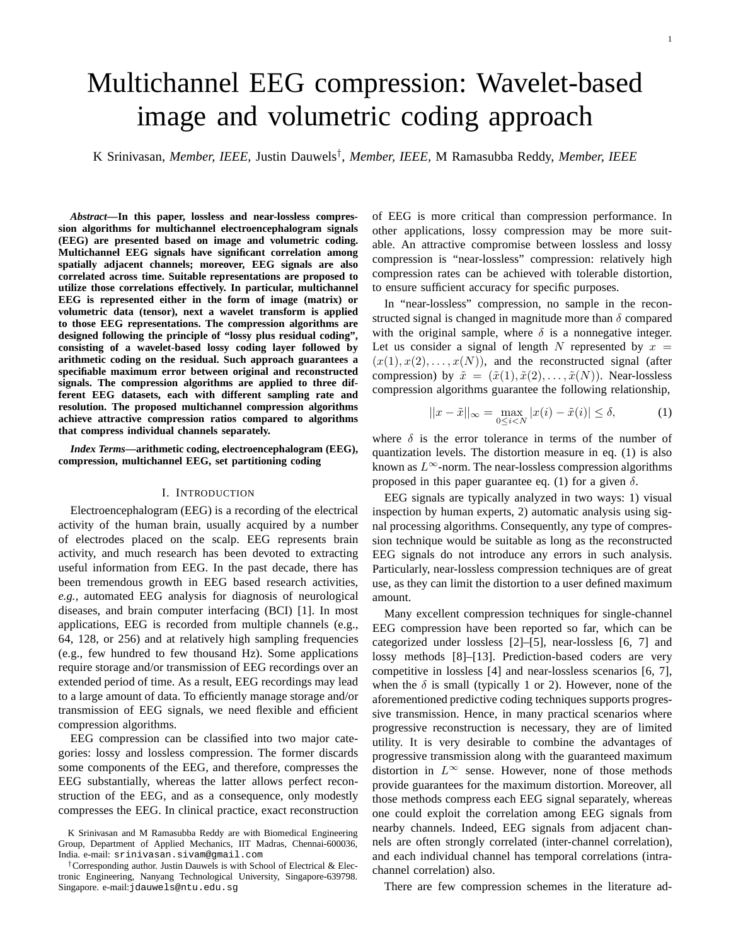# Multichannel EEG compression: Wavelet-based image and volumetric coding approach

K Srinivasan, *Member, IEEE,* Justin Dauwels† , *Member, IEEE,* M Ramasubba Reddy, *Member, IEEE*

*Abstract***—In this paper, lossless and near-lossless compression algorithms for multichannel electroencephalogram signals (EEG) are presented based on image and volumetric coding. Multichannel EEG signals have significant correlation among spatially adjacent channels; moreover, EEG signals are also correlated across time. Suitable representations are proposed to utilize those correlations effectively. In particular, multichannel EEG is represented either in the form of image (matrix) or volumetric data (tensor), next a wavelet transform is applied to those EEG representations. The compression algorithms are designed following the principle of "lossy plus residual coding", consisting of a wavelet-based lossy coding layer followed by arithmetic coding on the residual. Such approach guarantees a specifiable maximum error between original and reconstructed signals. The compression algorithms are applied to three different EEG datasets, each with different sampling rate and resolution. The proposed multichannel compression algorithms achieve attractive compression ratios compared to algorithms that compress individual channels separately.**

*Index Terms***—arithmetic coding, electroencephalogram (EEG), compression, multichannel EEG, set partitioning coding**

# I. INTRODUCTION

Electroencephalogram (EEG) is a recording of the electrical activity of the human brain, usually acquired by a number of electrodes placed on the scalp. EEG represents brain activity, and much research has been devoted to extracting useful information from EEG. In the past decade, there has been tremendous growth in EEG based research activities, *e.g.,* automated EEG analysis for diagnosis of neurological diseases, and brain computer interfacing (BCI) [1]. In most applications, EEG is recorded from multiple channels (e.g., 64, 128, or 256) and at relatively high sampling frequencies (e.g., few hundred to few thousand Hz). Some applications require storage and/or transmission of EEG recordings over an extended period of time. As a result, EEG recordings may lead to a large amount of data. To efficiently manage storage and/or transmission of EEG signals, we need flexible and efficient compression algorithms.

EEG compression can be classified into two major categories: lossy and lossless compression. The former discards some components of the EEG, and therefore, compresses the EEG substantially, whereas the latter allows perfect reconstruction of the EEG, and as a consequence, only modestly compresses the EEG. In clinical practice, exact reconstruction of EEG is more critical than compression performance. In other applications, lossy compression may be more suitable. An attractive compromise between lossless and lossy compression is "near-lossless" compression: relatively high compression rates can be achieved with tolerable distortion, to ensure sufficient accuracy for specific purposes.

In "near-lossless" compression, no sample in the reconstructed signal is changed in magnitude more than  $\delta$  compared with the original sample, where  $\delta$  is a nonnegative integer. Let us consider a signal of length N represented by  $x =$  $(x(1), x(2), \ldots, x(N))$ , and the reconstructed signal (after compression) by  $\tilde{x} = (\tilde{x}(1), \tilde{x}(2), \ldots, \tilde{x}(N))$ . Near-lossless compression algorithms guarantee the following relationship,

$$
||x - \tilde{x}||_{\infty} = \max_{0 \le i < N} |x(i) - \tilde{x}(i)| \le \delta,\tag{1}
$$

where  $\delta$  is the error tolerance in terms of the number of quantization levels. The distortion measure in eq. (1) is also known as  $L^{\infty}$ -norm. The near-lossless compression algorithms proposed in this paper guarantee eq. (1) for a given  $\delta$ .

EEG signals are typically analyzed in two ways: 1) visual inspection by human experts, 2) automatic analysis using signal processing algorithms. Consequently, any type of compression technique would be suitable as long as the reconstructed EEG signals do not introduce any errors in such analysis. Particularly, near-lossless compression techniques are of great use, as they can limit the distortion to a user defined maximum amount.

Many excellent compression techniques for single-channel EEG compression have been reported so far, which can be categorized under lossless [2]–[5], near-lossless [6, 7] and lossy methods [8]–[13]. Prediction-based coders are very competitive in lossless [4] and near-lossless scenarios [6, 7], when the  $\delta$  is small (typically 1 or 2). However, none of the aforementioned predictive coding techniques supports progressive transmission. Hence, in many practical scenarios where progressive reconstruction is necessary, they are of limited utility. It is very desirable to combine the advantages of progressive transmission along with the guaranteed maximum distortion in  $L^{\infty}$  sense. However, none of those methods provide guarantees for the maximum distortion. Moreover, all those methods compress each EEG signal separately, whereas one could exploit the correlation among EEG signals from nearby channels. Indeed, EEG signals from adjacent channels are often strongly correlated (inter-channel correlation), and each individual channel has temporal correlations (intrachannel correlation) also.

There are few compression schemes in the literature ad-

K Srinivasan and M Ramasubba Reddy are with Biomedical Engineering Group, Department of Applied Mechanics, IIT Madras, Chennai-600036, India. e-mail: srinivasan.sivam@gmail.com

<sup>†</sup>Corresponding author. Justin Dauwels is with School of Electrical & Electronic Engineering, Nanyang Technological University, Singapore-639798. Singapore. e-mail:jdauwels@ntu.edu.sg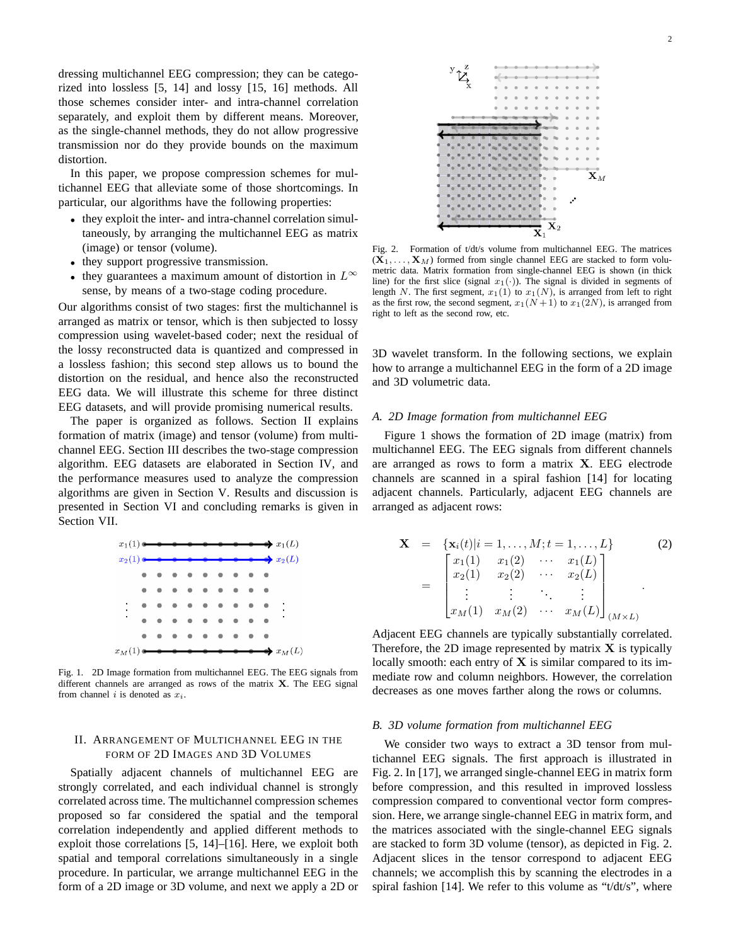dressing multichannel EEG compression; they can be categorized into lossless [5, 14] and lossy [15, 16] methods. All those schemes consider inter- and intra-channel correlation separately, and exploit them by different means. Moreover, as the single-channel methods, they do not allow progressive transmission nor do they provide bounds on the maximum distortion.

In this paper, we propose compression schemes for multichannel EEG that alleviate some of those shortcomings. In particular, our algorithms have the following properties:

- they exploit the inter- and intra-channel correlation simultaneously, by arranging the multichannel EEG as matrix (image) or tensor (volume).
- they support progressive transmission.
- they guarantees a maximum amount of distortion in  $L^{\infty}$ sense, by means of a two-stage coding procedure.

Our algorithms consist of two stages: first the multichannel is arranged as matrix or tensor, which is then subjected to lossy compression using wavelet-based coder; next the residual of the lossy reconstructed data is quantized and compressed in a lossless fashion; this second step allows us to bound the distortion on the residual, and hence also the reconstructed EEG data. We will illustrate this scheme for three distinct EEG datasets, and will provide promising numerical results.

The paper is organized as follows. Section II explains formation of matrix (image) and tensor (volume) from multichannel EEG. Section III describes the two-stage compression algorithm. EEG datasets are elaborated in Section IV, and the performance measures used to analyze the compression algorithms are given in Section V. Results and discussion is presented in Section VI and concluding remarks is given in Section VII.



Fig. 1. 2D Image formation from multichannel EEG. The EEG signals from different channels are arranged as rows of the matrix  $X$ . The EEG signal from channel i is denoted as  $x_i$ .

# II. ARRANGEMENT OF MULTICHANNEL EEG IN THE FORM OF 2D IMAGES AND 3D VOLUMES

Spatially adjacent channels of multichannel EEG are strongly correlated, and each individual channel is strongly correlated across time. The multichannel compression schemes proposed so far considered the spatial and the temporal correlation independently and applied different methods to exploit those correlations [5, 14]–[16]. Here, we exploit both spatial and temporal correlations simultaneously in a single procedure. In particular, we arrange multichannel EEG in the form of a 2D image or 3D volume, and next we apply a 2D or



Fig. 2. Formation of t/dt/s volume from multichannel EEG. The matrices  $(X_1, \ldots, X_M)$  formed from single channel EEG are stacked to form volumetric data. Matrix formation from single-channel EEG is shown (in thick line) for the first slice (signal  $x_1(\cdot)$ ). The signal is divided in segments of length N. The first segment,  $x_1(1)$  to  $x_1(N)$ , is arranged from left to right as the first row, the second segment,  $x_1(N+1)$  to  $x_1(2N)$ , is arranged from right to left as the second row, etc.

3D wavelet transform. In the following sections, we explain how to arrange a multichannel EEG in the form of a 2D image and 3D volumetric data.

### *A. 2D Image formation from multichannel EEG*

Figure 1 shows the formation of 2D image (matrix) from multichannel EEG. The EEG signals from different channels are arranged as rows to form a matrix X. EEG electrode channels are scanned in a spiral fashion [14] for locating adjacent channels. Particularly, adjacent EEG channels are arranged as adjacent rows:

$$
\mathbf{X} = \{ \mathbf{x}_i(t) | i = 1, ..., M; t = 1, ..., L \}
$$
(2)  

$$
= \begin{bmatrix} x_1(1) & x_1(2) & \cdots & x_1(L) \\ x_2(1) & x_2(2) & \cdots & x_2(L) \\ \vdots & \vdots & \ddots & \vdots \\ x_M(1) & x_M(2) & \cdots & x_M(L) \end{bmatrix}_{(M \times L)}
$$

Adjacent EEG channels are typically substantially correlated. Therefore, the 2D image represented by matrix  $X$  is typically locally smooth: each entry of  $X$  is similar compared to its immediate row and column neighbors. However, the correlation decreases as one moves farther along the rows or columns.

### *B. 3D volume formation from multichannel EEG*

We consider two ways to extract a 3D tensor from multichannel EEG signals. The first approach is illustrated in Fig. 2. In [17], we arranged single-channel EEG in matrix form before compression, and this resulted in improved lossless compression compared to conventional vector form compression. Here, we arrange single-channel EEG in matrix form, and the matrices associated with the single-channel EEG signals are stacked to form 3D volume (tensor), as depicted in Fig. 2. Adjacent slices in the tensor correspond to adjacent EEG channels; we accomplish this by scanning the electrodes in a spiral fashion [14]. We refer to this volume as "t/dt/s", where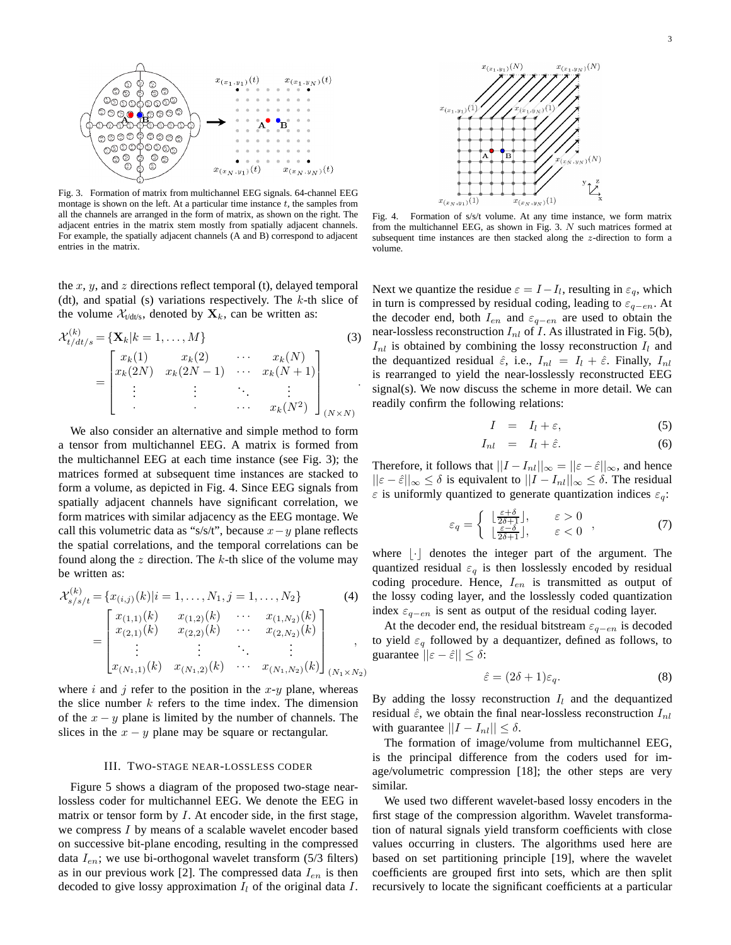

Fig. 3. Formation of matrix from multichannel EEG signals. 64-channel EEG montage is shown on the left. At a particular time instance  $t$ , the samples from all the channels are arranged in the form of matrix, as shown on the right. The adjacent entries in the matrix stem mostly from spatially adjacent channels. For example, the spatially adjacent channels (A and B) correspond to adjacent entries in the matrix.

the x, y, and z directions reflect temporal (t), delayed temporal (dt), and spatial (s) variations respectively. The  $k$ -th slice of the volume  $\mathcal{X}_{\text{tdt/s}}$ , denoted by  $\mathbf{X}_k$ , can be written as:

 $\langle i \rangle$ 

$$
\mathcal{X}_{t/dt/s}^{(k)} = \{ \mathbf{X}_k | k = 1, ..., M \}
$$
\n
$$
= \begin{bmatrix}\n x_k(1) & x_k(2) & \cdots & x_k(N) \\
 x_k(2N) & x_k(2N-1) & \cdots & x_k(N+1) \\
 \vdots & \vdots & \ddots & \vdots \\
 x_k(N^2) & \cdots & x_k(N^2)\n\end{bmatrix}_{(N \times N)}
$$
\n(3)

We also consider an alternative and simple method to form a tensor from multichannel EEG. A matrix is formed from the multichannel EEG at each time instance (see Fig. 3); the matrices formed at subsequent time instances are stacked to form a volume, as depicted in Fig. 4. Since EEG signals from spatially adjacent channels have significant correlation, we form matrices with similar adjacency as the EEG montage. We call this volumetric data as "s/s/t", because  $x-y$  plane reflects the spatial correlations, and the temporal correlations can be found along the  $z$  direction. The  $k$ -th slice of the volume may be written as:

$$
\mathcal{X}_{s/s/t}^{(k)} = \{x_{(i,j)}(k)|i = 1, ..., N_1, j = 1, ..., N_2\}
$$
\n
$$
= \begin{bmatrix}\nx_{(1,1)}(k) & x_{(1,2)}(k) & \cdots & x_{(1,N_2)}(k) \\
x_{(2,1)}(k) & x_{(2,2)}(k) & \cdots & x_{(2,N_2)}(k) \\
\vdots & \vdots & \ddots & \vdots\n\end{bmatrix}
$$
\n(4)

$$
\begin{bmatrix} x_{(N_1,1)}(k) & x_{(N_1,2)}(k) & \cdots & x_{(N_1,N_2)}(k) \end{bmatrix}_{(N_1 \times N_2)}
$$

where i and j refer to the position in the  $x-y$  plane, whereas the slice number  $k$  refers to the time index. The dimension of the  $x - y$  plane is limited by the number of channels. The slices in the  $x - y$  plane may be square or rectangular.

# III. TWO-STAGE NEAR-LOSSLESS CODER

Figure 5 shows a diagram of the proposed two-stage nearlossless coder for multichannel EEG. We denote the EEG in matrix or tensor form by  $I$ . At encoder side, in the first stage, we compress I by means of a scalable wavelet encoder based on successive bit-plane encoding, resulting in the compressed data  $I_{en}$ ; we use bi-orthogonal wavelet transform (5/3 filters) as in our previous work [2]. The compressed data  $I_{en}$  is then decoded to give lossy approximation  $I_l$  of the original data  $I$ .



Fig. 4. Formation of s/s/t volume. At any time instance, we form matrix from the multichannel EEG, as shown in Fig. 3. N such matrices formed at subsequent time instances are then stacked along the z-direction to form a volume.

Next we quantize the residue  $\varepsilon = I - I_l$ , resulting in  $\varepsilon_q$ , which in turn is compressed by residual coding, leading to  $\varepsilon_{q-en}$ . At the decoder end, both  $I_{en}$  and  $\varepsilon_{q-en}$  are used to obtain the near-lossless reconstruction  $I_{nl}$  of I. As illustrated in Fig. 5(b),  $I_{nl}$  is obtained by combining the lossy reconstruction  $I_l$  and the dequantized residual  $\hat{\varepsilon}$ , i.e.,  $I_{nl} = I_l + \hat{\varepsilon}$ . Finally,  $I_{nl}$ is rearranged to yield the near-losslessly reconstructed EEG signal(s). We now discuss the scheme in more detail. We can readily confirm the following relations:

$$
I = I_l + \varepsilon, \tag{5}
$$

$$
I_{nl} = I_l + \hat{\varepsilon}.\tag{6}
$$

Therefore, it follows that  $||I - I_{nl}||_{\infty} = ||\varepsilon - \hat{\varepsilon}||_{\infty}$ , and hence  $||\varepsilon - \hat{\varepsilon}||_{\infty} \leq \delta$  is equivalent to  $||I - I_{nl}||_{\infty} \leq \delta$ . The residual  $\varepsilon$  is uniformly quantized to generate quantization indices  $\varepsilon_q$ :

$$
\varepsilon_q = \begin{cases} \begin{array}{cc} \frac{\varepsilon + \delta}{2\delta + 1} \end{array}, & \varepsilon > 0 \\ \frac{\varepsilon - \delta}{2\delta + 1} \end{array}, & \varepsilon < 0 \end{cases}, \tag{7}
$$

where  $|\cdot|$  denotes the integer part of the argument. The quantized residual  $\varepsilon_q$  is then losslessly encoded by residual coding procedure. Hence,  $I_{en}$  is transmitted as output of the lossy coding layer, and the losslessly coded quantization index  $\varepsilon_{q-en}$  is sent as output of the residual coding layer.

At the decoder end, the residual bitstream  $\varepsilon_{q-en}$  is decoded to yield  $\varepsilon_q$  followed by a dequantizer, defined as follows, to guarantee  $||\varepsilon - \hat{\varepsilon}|| \leq \delta$ :

$$
\hat{\varepsilon} = (2\delta + 1)\varepsilon_q. \tag{8}
$$

By adding the lossy reconstruction  $I_l$  and the dequantized residual  $\hat{\epsilon}$ , we obtain the final near-lossless reconstruction  $I_{nl}$ with guarantee  $||I - I_{nl}|| \leq \delta$ .

The formation of image/volume from multichannel EEG, is the principal difference from the coders used for image/volumetric compression [18]; the other steps are very similar.

We used two different wavelet-based lossy encoders in the first stage of the compression algorithm. Wavelet transformation of natural signals yield transform coefficients with close values occurring in clusters. The algorithms used here are based on set partitioning principle [19], where the wavelet coefficients are grouped first into sets, which are then split recursively to locate the significant coefficients at a particular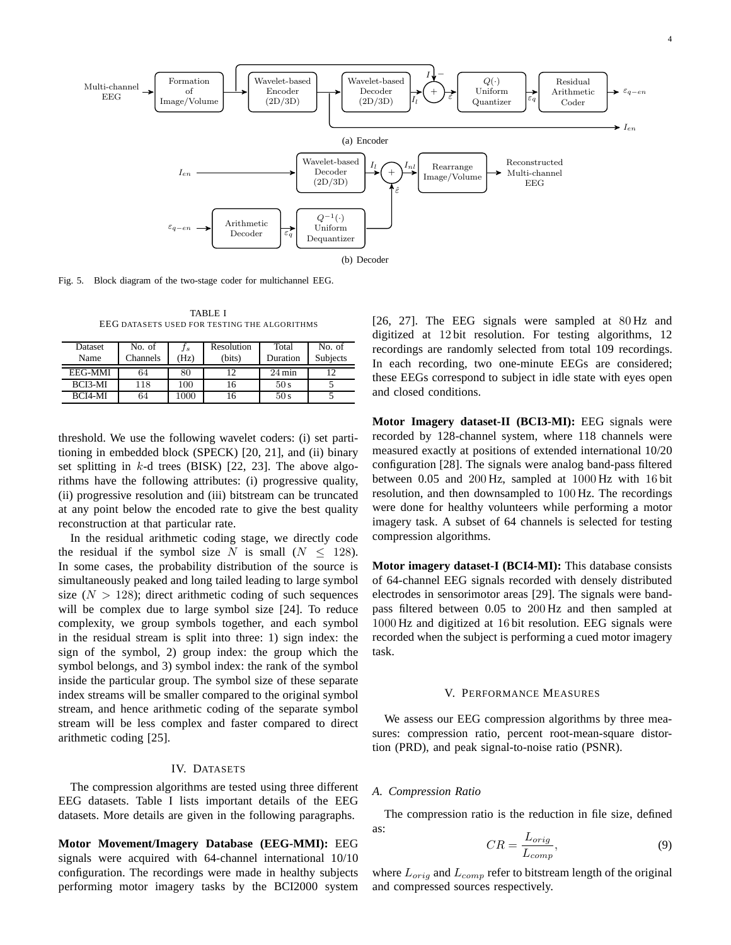

Fig. 5. Block diagram of the two-stage coder for multichannel EEG.

TABLE I EEG DATASETS USED FOR TESTING THE ALGORITHMS

| <b>Dataset</b><br>Name | No. of<br><b>Channels</b> | J s<br>'Hz) | Resolution<br>(bits) | Total<br>Duration   | No. of<br><b>Subjects</b> |
|------------------------|---------------------------|-------------|----------------------|---------------------|---------------------------|
| <b>EEG-MMI</b>         | 64                        | 80          |                      | $24 \,\mathrm{min}$ | 1 ^                       |
| BCI3-MI                | 118                       | 100         | 16                   | 50 s                |                           |
| <b>BCI4-MI</b>         | 64                        | 1000        |                      | 50s                 |                           |

threshold. We use the following wavelet coders: (i) set partitioning in embedded block (SPECK) [20, 21], and (ii) binary set splitting in  $k$ -d trees (BISK) [22, 23]. The above algorithms have the following attributes: (i) progressive quality, (ii) progressive resolution and (iii) bitstream can be truncated at any point below the encoded rate to give the best quality reconstruction at that particular rate.

In the residual arithmetic coding stage, we directly code the residual if the symbol size N is small  $(N \le 128)$ . In some cases, the probability distribution of the source is simultaneously peaked and long tailed leading to large symbol size  $(N > 128)$ ; direct arithmetic coding of such sequences will be complex due to large symbol size [24]. To reduce complexity, we group symbols together, and each symbol in the residual stream is split into three: 1) sign index: the sign of the symbol, 2) group index: the group which the symbol belongs, and 3) symbol index: the rank of the symbol inside the particular group. The symbol size of these separate index streams will be smaller compared to the original symbol stream, and hence arithmetic coding of the separate symbol stream will be less complex and faster compared to direct arithmetic coding [25].

## IV. DATASETS

The compression algorithms are tested using three different EEG datasets. Table I lists important details of the EEG datasets. More details are given in the following paragraphs.

**Motor Movement/Imagery Database (EEG-MMI):** EEG signals were acquired with 64-channel international 10/10 configuration. The recordings were made in healthy subjects performing motor imagery tasks by the BCI2000 system

[26, 27]. The EEG signals were sampled at 80 Hz and digitized at 12 bit resolution. For testing algorithms, 12 recordings are randomly selected from total 109 recordings. In each recording, two one-minute EEGs are considered; these EEGs correspond to subject in idle state with eyes open and closed conditions.

**Motor Imagery dataset-II (BCI3-MI):** EEG signals were recorded by 128-channel system, where 118 channels were measured exactly at positions of extended international 10/20 configuration [28]. The signals were analog band-pass filtered between 0.05 and 200 Hz, sampled at 1000 Hz with 16 bit resolution, and then downsampled to 100 Hz. The recordings were done for healthy volunteers while performing a motor imagery task. A subset of 64 channels is selected for testing compression algorithms.

**Motor imagery dataset-I (BCI4-MI):** This database consists of 64-channel EEG signals recorded with densely distributed electrodes in sensorimotor areas [29]. The signals were bandpass filtered between 0.05 to 200 Hz and then sampled at 1000 Hz and digitized at 16 bit resolution. EEG signals were recorded when the subject is performing a cued motor imagery task.

#### V. PERFORMANCE MEASURES

We assess our EEG compression algorithms by three measures: compression ratio, percent root-mean-square distortion (PRD), and peak signal-to-noise ratio (PSNR).

#### *A. Compression Ratio*

The compression ratio is the reduction in file size, defined as:

$$
CR = \frac{L_{orig}}{L_{comp}},\tag{9}
$$

where  $L_{orig}$  and  $L_{comp}$  refer to bitstream length of the original and compressed sources respectively.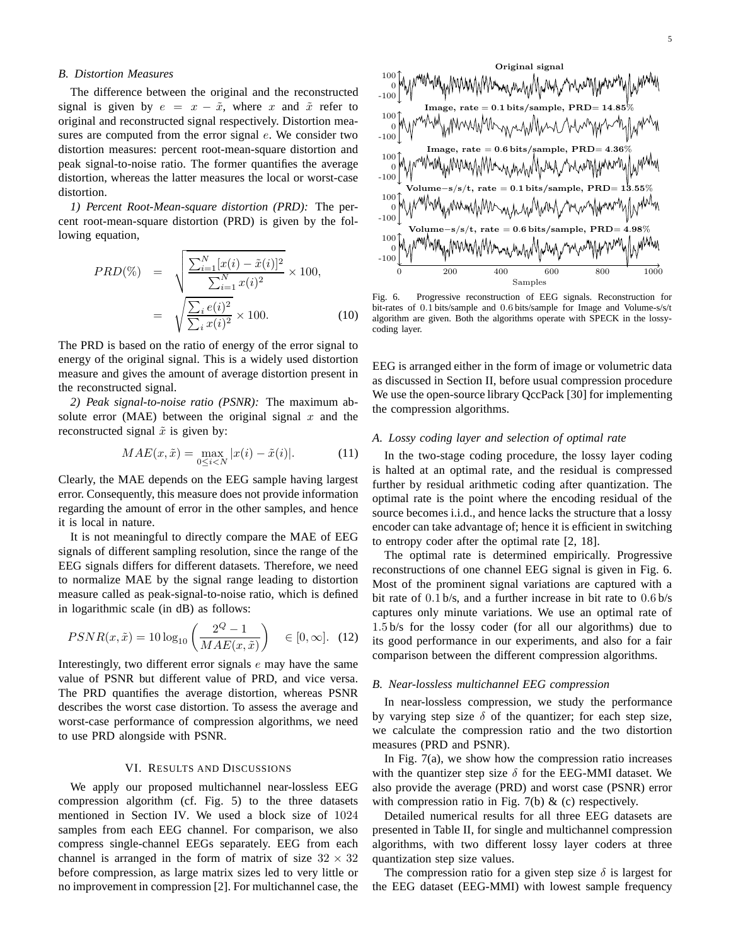#### *B. Distortion Measures*

The difference between the original and the reconstructed signal is given by  $e = x - \tilde{x}$ , where x and  $\tilde{x}$  refer to original and reconstructed signal respectively. Distortion measures are computed from the error signal  $e$ . We consider two distortion measures: percent root-mean-square distortion and peak signal-to-noise ratio. The former quantifies the average distortion, whereas the latter measures the local or worst-case distortion.

*1) Percent Root-Mean-square distortion (PRD):* The percent root-mean-square distortion (PRD) is given by the following equation,

$$
PRD(\%) = \sqrt{\frac{\sum_{i=1}^{N} [x(i) - \tilde{x}(i)]^2}{\sum_{i=1}^{N} x(i)^2}} \times 100,
$$

$$
= \sqrt{\frac{\sum_{i} e(i)^2}{\sum_{i} x(i)^2}} \times 100.
$$
(10)

The PRD is based on the ratio of energy of the error signal to energy of the original signal. This is a widely used distortion measure and gives the amount of average distortion present in the reconstructed signal.

*2) Peak signal-to-noise ratio (PSNR):* The maximum absolute error (MAE) between the original signal  $x$  and the reconstructed signal  $\tilde{x}$  is given by:

$$
MAE(x, \tilde{x}) = \max_{0 \le i < N} |x(i) - \tilde{x}(i)|. \tag{11}
$$

Clearly, the MAE depends on the EEG sample having largest error. Consequently, this measure does not provide information regarding the amount of error in the other samples, and hence it is local in nature.

It is not meaningful to directly compare the MAE of EEG signals of different sampling resolution, since the range of the EEG signals differs for different datasets. Therefore, we need to normalize MAE by the signal range leading to distortion measure called as peak-signal-to-noise ratio, which is defined in logarithmic scale (in dB) as follows:

$$
PSNR(x, \tilde{x}) = 10 \log_{10} \left( \frac{2^Q - 1}{MAE(x, \tilde{x})} \right) \quad \in [0, \infty]. \tag{12}
$$

Interestingly, two different error signals  $e$  may have the same value of PSNR but different value of PRD, and vice versa. The PRD quantifies the average distortion, whereas PSNR describes the worst case distortion. To assess the average and worst-case performance of compression algorithms, we need to use PRD alongside with PSNR.

# VI. RESULTS AND DISCUSSIONS

We apply our proposed multichannel near-lossless EEG compression algorithm (cf. Fig. 5) to the three datasets mentioned in Section IV. We used a block size of 1024 samples from each EEG channel. For comparison, we also compress single-channel EEGs separately. EEG from each channel is arranged in the form of matrix of size  $32 \times 32$ before compression, as large matrix sizes led to very little or no improvement in compression [2]. For multichannel case, the



Fig. 6. Progressive reconstruction of EEG signals. Reconstruction for bit-rates of 0.1 bits/sample and 0.6 bits/sample for Image and Volume-s/s/t algorithm are given. Both the algorithms operate with SPECK in the lossycoding layer.

EEG is arranged either in the form of image or volumetric data as discussed in Section II, before usual compression procedure We use the open-source library QccPack [30] for implementing the compression algorithms.

# *A. Lossy coding layer and selection of optimal rate*

In the two-stage coding procedure, the lossy layer coding is halted at an optimal rate, and the residual is compressed further by residual arithmetic coding after quantization. The optimal rate is the point where the encoding residual of the source becomes i.i.d., and hence lacks the structure that a lossy encoder can take advantage of; hence it is efficient in switching to entropy coder after the optimal rate [2, 18].

The optimal rate is determined empirically. Progressive reconstructions of one channel EEG signal is given in Fig. 6. Most of the prominent signal variations are captured with a bit rate of 0.1 b/s, and a further increase in bit rate to 0.6 b/s captures only minute variations. We use an optimal rate of 1.5 b/s for the lossy coder (for all our algorithms) due to its good performance in our experiments, and also for a fair comparison between the different compression algorithms.

#### *B. Near-lossless multichannel EEG compression*

In near-lossless compression, we study the performance by varying step size  $\delta$  of the quantizer; for each step size, we calculate the compression ratio and the two distortion measures (PRD and PSNR).

In Fig. 7(a), we show how the compression ratio increases with the quantizer step size  $\delta$  for the EEG-MMI dataset. We also provide the average (PRD) and worst case (PSNR) error with compression ratio in Fig. 7(b)  $\&$  (c) respectively.

Detailed numerical results for all three EEG datasets are presented in Table II, for single and multichannel compression algorithms, with two different lossy layer coders at three quantization step size values.

The compression ratio for a given step size  $\delta$  is largest for the EEG dataset (EEG-MMI) with lowest sample frequency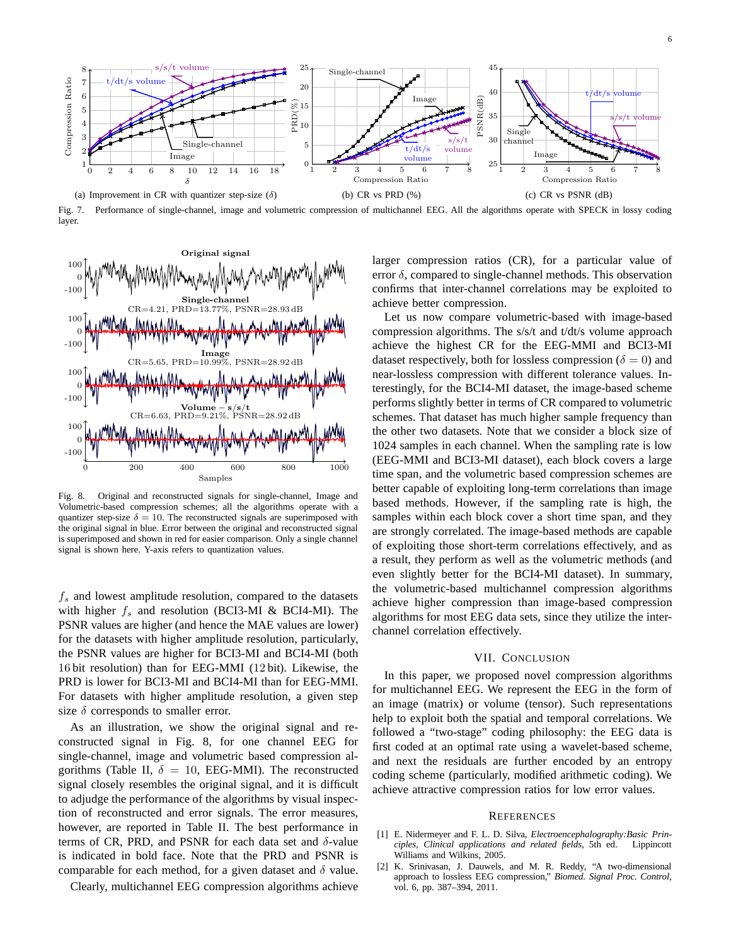

Fig. 7. Performance of single-channel, image and volumetric compression of multichannel EEG. All the algorithms operate with SPECK in lossy coding layer.



Fig. 8. Original and reconstructed signals for single-channel, Image and Volumetric-based compression schemes; all the algorithms operate with a quantizer step-size  $\delta = 10$ . The reconstructed signals are superimposed with the original signal in blue. Error between the original and reconstructed signal is superimposed and shown in red for easier comparison. Only a single channel signal is shown here. Y-axis refers to quantization values.

 $f_s$  and lowest amplitude resolution, compared to the datasets with higher  $f_s$  and resolution (BCI3-MI & BCI4-MI). The PSNR values are higher (and hence the MAE values are lower) for the datasets with higher amplitude resolution, particularly, the PSNR values are higher for BCI3-MI and BCI4-MI (both 16 bit resolution) than for EEG-MMI (12 bit). Likewise, the PRD is lower for BCI3-MI and BCI4-MI than for EEG-MMI. For datasets with higher amplitude resolution, a given step size  $\delta$  corresponds to smaller error.

As an illustration, we show the original signal and reconstructed signal in Fig. 8, for one channel EEG for single-channel, image and volumetric based compression algorithms (Table II,  $\delta = 10$ , EEG-MMI). The reconstructed signal closely resembles the original signal, and it is difficult to adjudge the performance of the algorithms by visual inspection of reconstructed and error signals. The error measures, however, are reported in Table II. The best performance in terms of CR, PRD, and PSNR for each data set and  $\delta$ -value is indicated in bold face. Note that the PRD and PSNR is comparable for each method, for a given dataset and  $\delta$  value.

Clearly, multichannel EEG compression algorithms achieve

larger compression ratios (CR), for a particular value of error  $\delta$ , compared to single-channel methods. This observation confirms that inter-channel correlations may be exploited to achieve better compression.

Let us now compare volumetric-based with image-based compression algorithms. The s/s/t and t/dt/s volume approach achieve the highest CR for the EEG-MMI and BCI3-MI dataset respectively, both for lossless compression ( $\delta = 0$ ) and near-lossless compression with different tolerance values. Interestingly, for the BCI4-MI dataset, the image-based scheme performs slightly better in terms of CR compared to volumetric schemes. That dataset has much higher sample frequency than the other two datasets. Note that we consider a block size of 1024 samples in each channel. When the sampling rate is low (EEG-MMI and BCI3-MI dataset), each block covers a large time span, and the volumetric based compression schemes are better capable of exploiting long-term correlations than image based methods. However, if the sampling rate is high, the samples within each block cover a short time span, and they are strongly correlated. The image-based methods are capable of exploiting those short-term correlations effectively, and as a result, they perform as well as the volumetric methods (and even slightly better for the BCI4-MI dataset). In summary, the volumetric-based multichannel compression algorithms achieve higher compression than image-based compression algorithms for most EEG data sets, since they utilize the interchannel correlation effectively.

#### VII. CONCLUSION

In this paper, we proposed novel compression algorithms for multichannel EEG. We represent the EEG in the form of an image (matrix) or volume (tensor). Such representations help to exploit both the spatial and temporal correlations. We followed a "two-stage" coding philosophy: the EEG data is first coded at an optimal rate using a wavelet-based scheme, and next the residuals are further encoded by an entropy coding scheme (particularly, modified arithmetic coding). We achieve attractive compression ratios for low error values.

#### **REFERENCES**

- [1] E. Nidermeyer and F. L. D. Silva, *Electroencephalography:Basic Principles, Clinical applications and related fields*, 5th ed. Lippincott Williams and Wilkins, 2005.
- [2] K. Srinivasan, J. Dauwels, and M. R. Reddy, "A two-dimensional approach to lossless EEG compression," *Biomed. Signal Proc. Control*, vol. 6, pp. 387–394, 2011.